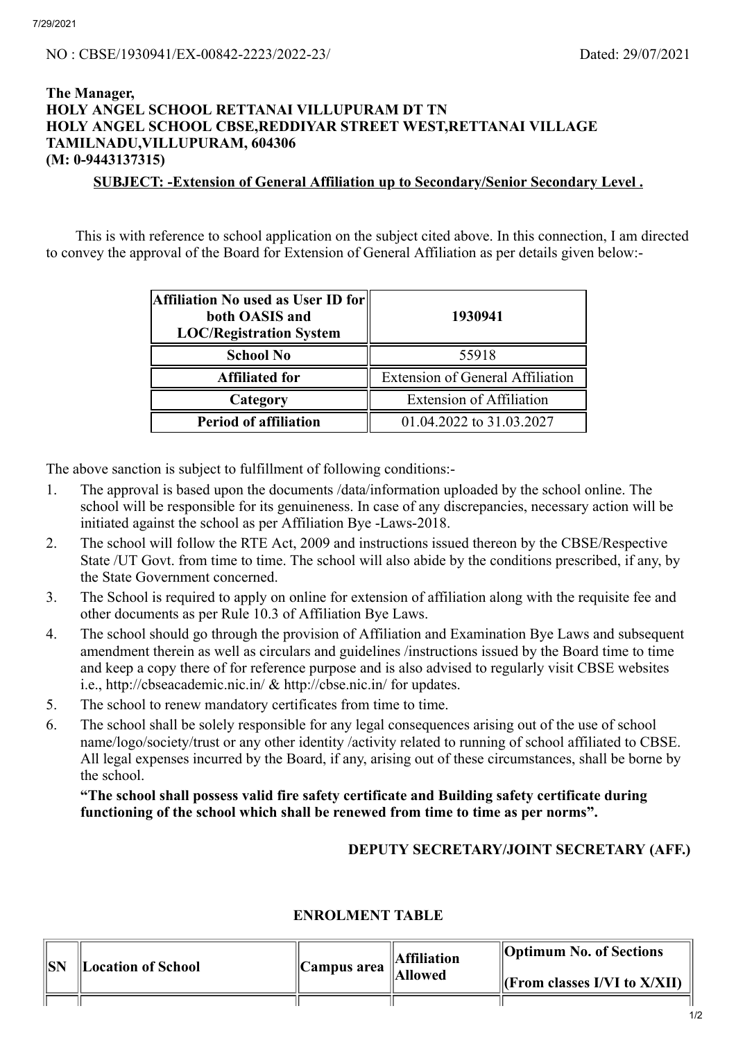7/29/2021

# **The Manager, HOLY ANGEL SCHOOL RETTANAI VILLUPURAM DT TN HOLY ANGEL SCHOOL CBSE,REDDIYAR STREET WEST,RETTANAI VILLAGE TAMILNADU,VILLUPURAM, 604306 (M: 0-9443137315)**

## **SUBJECT: -Extension of General Affiliation up to Secondary/Senior Secondary Level .**

This is with reference to school application on the subject cited above. In this connection, I am directed to convey the approval of the Board for Extension of General Affiliation as per details given below:-

| Affiliation No used as User ID for<br>both OASIS and<br><b>LOC/Registration System</b> | 1930941                                 |  |
|----------------------------------------------------------------------------------------|-----------------------------------------|--|
| <b>School No</b>                                                                       | 55918                                   |  |
| <b>Affiliated for</b>                                                                  | <b>Extension of General Affiliation</b> |  |
| Category                                                                               | <b>Extension of Affiliation</b>         |  |
| <b>Period of affiliation</b>                                                           | 01.04.2022 to 31.03.2027                |  |

The above sanction is subject to fulfillment of following conditions:-

- 1. The approval is based upon the documents /data/information uploaded by the school online. The school will be responsible for its genuineness. In case of any discrepancies, necessary action will be initiated against the school as per Affiliation Bye -Laws-2018.
- 2. The school will follow the RTE Act, 2009 and instructions issued thereon by the CBSE/Respective State /UT Govt. from time to time. The school will also abide by the conditions prescribed, if any, by the State Government concerned.
- 3. The School is required to apply on online for extension of affiliation along with the requisite fee and other documents as per Rule 10.3 of Affiliation Bye Laws.
- 4. The school should go through the provision of Affiliation and Examination Bye Laws and subsequent amendment therein as well as circulars and guidelines /instructions issued by the Board time to time and keep a copy there of for reference purpose and is also advised to regularly visit CBSE websites i.e., http://cbseacademic.nic.in/ & http://cbse.nic.in/ for updates.
- 5. The school to renew mandatory certificates from time to time.
- 6. The school shall be solely responsible for any legal consequences arising out of the use of school name/logo/society/trust or any other identity /activity related to running of school affiliated to CBSE. All legal expenses incurred by the Board, if any, arising out of these circumstances, shall be borne by the school.

#### **"The school shall possess valid fire safety certificate and Building safety certificate during functioning of the school which shall be renewed from time to time as per norms".**

## **DEPUTY SECRETARY/JOINT SECRETARY (AFF.)**

#### **SN Location of School Campus area Affiliation Allowed Optimum No. of Sections (From classes I/VI to X/XII)**

### **ENROLMENT TABLE**